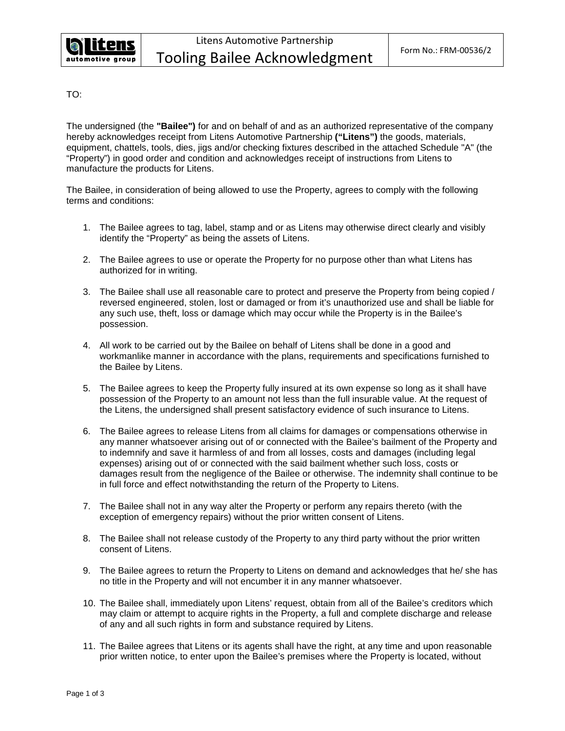

TO:

The undersigned (the **"Bailee")** for and on behalf of and as an authorized representative of the company hereby acknowledges receipt from Litens Automotive Partnership **("Litens")** the goods, materials, equipment, chattels, tools, dies, jigs and/or checking fixtures described in the attached Schedule "A" (the "Property") in good order and condition and acknowledges receipt of instructions from Litens to manufacture the products for Litens.

The Bailee, in consideration of being allowed to use the Property, agrees to comply with the following terms and conditions:

- 1. The Bailee agrees to tag, label, stamp and or as Litens may otherwise direct clearly and visibly identify the "Property" as being the assets of Litens.
- 2. The Bailee agrees to use or operate the Property for no purpose other than what Litens has authorized for in writing.
- 3. The Bailee shall use all reasonable care to protect and preserve the Property from being copied / reversed engineered, stolen, lost or damaged or from it's unauthorized use and shall be liable for any such use, theft, loss or damage which may occur while the Property is in the Bailee's possession.
- 4. All work to be carried out by the Bailee on behalf of Litens shall be done in a good and workmanlike manner in accordance with the plans, requirements and specifications furnished to the Bailee by Litens.
- 5. The Bailee agrees to keep the Property fully insured at its own expense so long as it shall have possession of the Property to an amount not less than the full insurable value. At the request of the Litens, the undersigned shall present satisfactory evidence of such insurance to Litens.
- 6. The Bailee agrees to release Litens from all claims for damages or compensations otherwise in any manner whatsoever arising out of or connected with the Bailee's bailment of the Property and to indemnify and save it harmless of and from all losses, costs and damages (including legal expenses) arising out of or connected with the said bailment whether such loss, costs or damages result from the negligence of the Bailee or otherwise. The indemnity shall continue to be in full force and effect notwithstanding the return of the Property to Litens.
- 7. The Bailee shall not in any way alter the Property or perform any repairs thereto (with the exception of emergency repairs) without the prior written consent of Litens.
- 8. The Bailee shall not release custody of the Property to any third party without the prior written consent of Litens.
- 9. The Bailee agrees to return the Property to Litens on demand and acknowledges that he/ she has no title in the Property and will not encumber it in any manner whatsoever.
- 10. The Bailee shall, immediately upon Litens' request, obtain from all of the Bailee's creditors which may claim or attempt to acquire rights in the Property, a full and complete discharge and release of any and all such rights in form and substance required by Litens.
- 11. The Bailee agrees that Litens or its agents shall have the right, at any time and upon reasonable prior written notice, to enter upon the Bailee's premises where the Property is located, without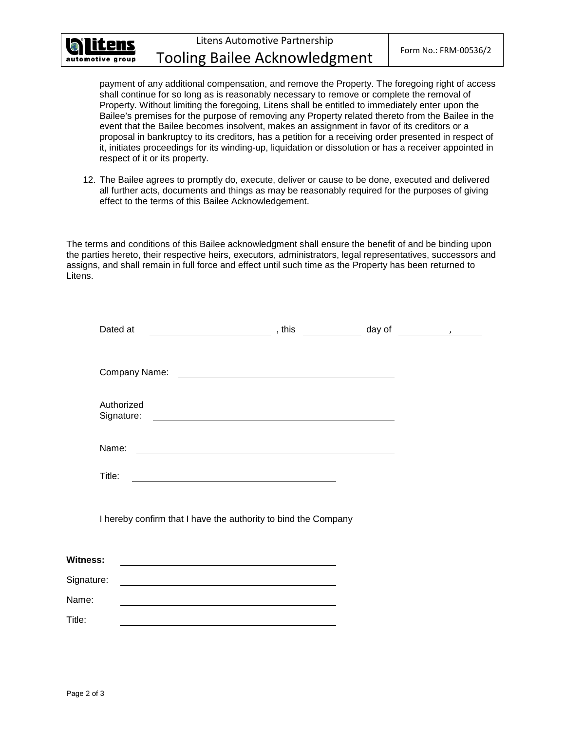

Litens Automotive Partnership Tooling Bailee Acknowledgment Form No.: FRM-00536/2

payment of any additional compensation, and remove the Property. The foregoing right of access shall continue for so long as is reasonably necessary to remove or complete the removal of Property. Without limiting the foregoing, Litens shall be entitled to immediately enter upon the Bailee's premises for the purpose of removing any Property related thereto from the Bailee in the event that the Bailee becomes insolvent, makes an assignment in favor of its creditors or a proposal in bankruptcy to its creditors, has a petition for a receiving order presented in respect of it, initiates proceedings for its winding-up, liquidation or dissolution or has a receiver appointed in respect of it or its property.

12. The Bailee agrees to promptly do, execute, deliver or cause to be done, executed and delivered all further acts, documents and things as may be reasonably required for the purposes of giving effect to the terms of this Bailee Acknowledgement.

The terms and conditions of this Bailee acknowledgment shall ensure the benefit of and be binding upon the parties hereto, their respective heirs, executors, administrators, legal representatives, successors and assigns, and shall remain in full force and effect until such time as the Property has been returned to Litens.

|                 | Dated at                 | ______________________________,this _______________ day of _____________________ |  |  |
|-----------------|--------------------------|----------------------------------------------------------------------------------|--|--|
|                 |                          |                                                                                  |  |  |
|                 |                          |                                                                                  |  |  |
|                 | Authorized<br>Signature: |                                                                                  |  |  |
| Name:           |                          |                                                                                  |  |  |
| Title:          |                          | <u> 1989 - Johann Stein, mars an de Britannich (b. 1989)</u>                     |  |  |
|                 |                          | I hereby confirm that I have the authority to bind the Company                   |  |  |
| <b>Witness:</b> |                          |                                                                                  |  |  |
| Signature:      |                          |                                                                                  |  |  |
| Name:           |                          |                                                                                  |  |  |
| Title:          |                          |                                                                                  |  |  |